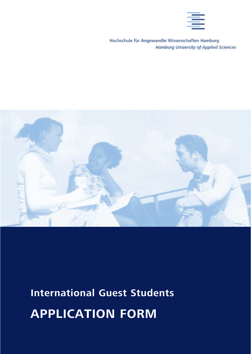

Hochschule für Angewandte Wissenschaften Hamburg **Hamburg University of Applied Sciences** 



# **International Guest Students APPLICATION FORM**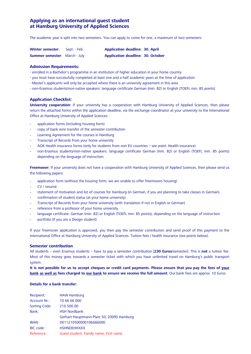# **Applying as an international guest student at Hamburg University of Applied Sciences**

The academic year is split into two semesters. You can apply to come for one, a maximum of two semesters:

| <b>Winter semester:</b>              | Sept. - Feb. | <b>Application deadline: 30. April</b>   |  |
|--------------------------------------|--------------|------------------------------------------|--|
| <b>Summer semester:</b> March - July |              | <b>Application deadline: 30. October</b> |  |

### **Admission Requirements:**

- enrolled in a Bachelor's programme in an institution of higher education in your home country
- you must have successfully completed at least one and a half academic years at the time of application
- Master's applicants will only be accepted where there is an university agreement in this area
- non-Erasmus students/non-native speakers: language certificate German (min. B2) or English (TOEFL min. 85 points)

## **Application Checklist:**

**University cooperation:** If your university has a cooperation with Hamburg University of Applied Sciences, then please return the attached forms within the application deadline, via the exchange coordinator at your university to the International Office at Hamburg University of Applied Sciences:

- application forms (including housing form)
- copy of bank wire transfer of the semester contribution
- Learning Agreement for the courses in Hamburg
- Transcript of Records from your home university
- AOK Health insurance forms (only for students from non EU countries see point: Health insurance)
- non-Erasmus students/non-native speakers: language certificate German (min. B2) or English (TOEFL min. 85 points) depending on the language of instruction.

**Freemover:** If your university does not have a cooperation with Hamburg University of Applied Sciences, then please send us the following papers:

- application form (without the housing form; we are unable to offer freemovers housing)
- CV / resumé
- statement of motivation and list of courses for Hamburg (in German, if you are planning to take classes in German)
- confirmation of student status (at your home university)
- Transcript of Records from your home university (with translation if not in English or German)
- reference from a professor of your home university
- language certificate: German (min. B2) or English (TOEFL min. 85 points), depending on the language of instruction
- portfolio (if you are a Design student)

If your freemover application is approved, you then pay the semester contribution and send proof of this payment to the International Office at Hamburg University of Applied Sciences. Tuition fees / health insurance (see points below).

## **Semester contribution**

All students – even Erasmus students – have to pay a semester contribution [**230 Euros**/semester]. This is **not** a tuition fee. Most of this money goes towards a semester ticket with which you have unlimited travel on Hamburg's public transport system.

**It is not possible for us to accept cheques or credit card payments. Please ensure that you pay the fees of your bank as well as fees charged to our bank to ensure we receive the full amount**. Our bank fees are approx. 10 Euros.

#### **Details for a bank transfer:**

| Recipient:           | <b>HAW Hamburg</b>                        |
|----------------------|-------------------------------------------|
| Account Nr.:         | 10 66 66 000                              |
| <b>Sorting Code:</b> | 210 500 00                                |
| Bank:                | <b>HSH Nordbank</b>                       |
|                      | Gerhart-Hauptmann-Platz 50, 20095 Hamburg |
| IBAN:                | DE11210500000106666000                    |
| BIC code:            | <b>HSHNDEHHXXX</b>                        |
| Reference:           | Guest student: Family name, First name    |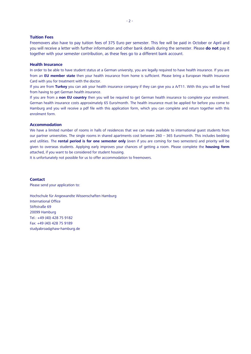## **Tuition Fees**

Freemovers also have to pay tuition fees of 375 Euro per semester. This fee will be paid in October or April and you will receive a letter with further information and other bank details during the semester. Please **do not** pay it together with your semester contribution, as these fees go to a different bank account.

#### **Health Insurance**

In order to be able to have student status at a German university, you are legally required to have health insurance. If you are from an **EU member state** then your health insurance from home is sufficient. Please bring a European Health Insurance Card with you for treatment with the doctor.

If you are from **Turkey** you can ask your health insurance company if they can give you a A/T11. With this you will be freed from having to get German health insurance.

If you are from a **non EU country** then you will be required to get German health insurance to complete your enrolment. German health insurance costs approximately 65 Euro/month. The health insurance must be applied for before you come to Hamburg and you will receive a pdf file with this application form, which you can complete and return together with this enrolment form.

#### **Accommodation**

We have a limited number of rooms in halls of residences that we can make available to international guest students from our partner universities. The single rooms in shared apartments cost between 260 – 365 Euro/month. This includes bedding and utilities. The **rental period is for one semester only** (even if you are coming for two semesters) and priority will be given to overseas students. Applying early improves your chances of getting a room. Please complete the **housing form** attached, if you want to be considered for student housing.

It is unfortunately not possible for us to offer accommodation to freemovers.

# **Contact**

Please send your application to:

Hochschule für Angewandte Wissenschaften Hamburg International Office Stiftstraße 69 20099 Hamburg Tel.: +49 (40) 428 75 9182 Fax: +49 (40) 428 75 9189 studyabroad@haw-hamburg.de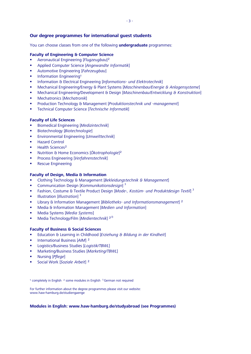# **Our degree programmes for international guest students**

You can choose classes from one of the following **undergraduate** programmes:

# **Faculty of Engineering & Computer Science**

- Aeronautical Engineering [*Flugzeugbau*]²
- Applied Computer Science [*Angewandte Informatik*]
- Automotive Engineering [*Fahrzeugbau*]
- **Information Engineering<sup>1</sup>**
- Information & Electrical Engineering [*Informations- und Elektrotechnik*]
- Mechanical Engineering/Energy & Plant Systems [*Maschinenbau/Energie & Anlagensysteme*]
- Mechanical Engineering/Development & Design [*Maschinenbau/Entwicklung & Konstruktion*]
- Mechatronics [*Mechatronik*]
- Production Technology & Management [*Produktionstechnik und -management*]
- Technical Computer Science [*Technische Informatik*]

# **Faculty of Life Sciences**

- Biomedical Engineering [*Medizintechnik*]
- Biotechnology [*Biotechnologie*]
- Environmental Engineering [*Umwelttechnik*]
- Hazard Control
- $H$  Health Sciences<sup>2</sup>
- Nutrition & Home Economics [*Ökotrophologie*]²
- Process Engineering [*Verfahrenstechnik*]
- **Rescue Engineering**

# **Faculty of Design, Media & Information**

- Clothing Technology & Management [*Bekleidungstechnik & Management*]
- Communication Design [*Kommunikationsdesign*] <sup>3</sup>
- Fashion, Costume & Textile Product Design [*Mode-, Kostüm- und Produktdesign Textil*] <sup>3</sup>
- **Illustration** [*Illustration*]<sup>3</sup>
- Library & Information Management [*Bibliotheks- und Informationsmanagement*] ²
- Media & Information Management [*Medien und Information*]
- Media Systems [*Media Systems*]
- Media Technology/Film [*Medientechnik*] ²/3

# **Faculty of Business & Social Sciences**

- Education & Learning in Childhood [*Erziehung & Bildung in der Kindheit*]
- **International Business [AIM] <sup>2</sup>**
- Logistics/Business Studies [*Logistik/TBWL*]
- Marketing/Business Studies [*Marketing/TBWL*]
- Nursing [*Pflege*]
- Social Work [*Soziale Arbeit*] ²

 $1$  completely in English  $2$  some modules in English  $3$  German not required

For further information about the degree programmes please visit our website: www.haw-hamburg.de/studiengaenge

# **Modules in English: www.haw-hamburg.de/studyabroad (see Programmes)**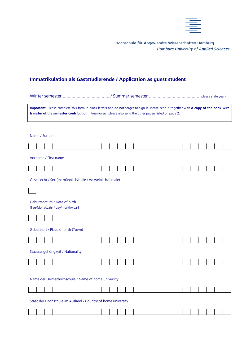

Hochschule für Angewandte Wissenschaften Hamburg **Hamburg University of Applied Sciences** 

# **Immatrikulation als Gaststudierende / Application as guest student**

| Important: Please complete this form in block letters and do not forget to sign it. Please send it together with a copy of the bank wire<br>transfer of the semester contribution. Freemovers: please also send the other papers listed on page 2. |                |  |                                                                   |  |  |  |  |  |  |  |  |  |  |  |  |  |  |  |
|----------------------------------------------------------------------------------------------------------------------------------------------------------------------------------------------------------------------------------------------------|----------------|--|-------------------------------------------------------------------|--|--|--|--|--|--|--|--|--|--|--|--|--|--|--|
|                                                                                                                                                                                                                                                    |                |  |                                                                   |  |  |  |  |  |  |  |  |  |  |  |  |  |  |  |
|                                                                                                                                                                                                                                                    | Name / Surname |  |                                                                   |  |  |  |  |  |  |  |  |  |  |  |  |  |  |  |
|                                                                                                                                                                                                                                                    |                |  |                                                                   |  |  |  |  |  |  |  |  |  |  |  |  |  |  |  |
| Vorname / First name                                                                                                                                                                                                                               |                |  |                                                                   |  |  |  |  |  |  |  |  |  |  |  |  |  |  |  |
|                                                                                                                                                                                                                                                    |                |  |                                                                   |  |  |  |  |  |  |  |  |  |  |  |  |  |  |  |
|                                                                                                                                                                                                                                                    |                |  | Geschlecht / Sex (m: männlich/male / w: weiblich/female)          |  |  |  |  |  |  |  |  |  |  |  |  |  |  |  |
|                                                                                                                                                                                                                                                    |                |  |                                                                   |  |  |  |  |  |  |  |  |  |  |  |  |  |  |  |
|                                                                                                                                                                                                                                                    |                |  | Geburtsdatum / Date of birth<br>[Tag/Monat/Jahr / day/month/year] |  |  |  |  |  |  |  |  |  |  |  |  |  |  |  |
|                                                                                                                                                                                                                                                    |                |  |                                                                   |  |  |  |  |  |  |  |  |  |  |  |  |  |  |  |
|                                                                                                                                                                                                                                                    |                |  | Geburtsort / Place of birth (Town)                                |  |  |  |  |  |  |  |  |  |  |  |  |  |  |  |
|                                                                                                                                                                                                                                                    |                |  |                                                                   |  |  |  |  |  |  |  |  |  |  |  |  |  |  |  |
|                                                                                                                                                                                                                                                    |                |  | Staatsangehörigkeit / Nationality                                 |  |  |  |  |  |  |  |  |  |  |  |  |  |  |  |
|                                                                                                                                                                                                                                                    |                |  |                                                                   |  |  |  |  |  |  |  |  |  |  |  |  |  |  |  |
|                                                                                                                                                                                                                                                    |                |  |                                                                   |  |  |  |  |  |  |  |  |  |  |  |  |  |  |  |
|                                                                                                                                                                                                                                                    |                |  | Name der Heimathochschule / Name of home university               |  |  |  |  |  |  |  |  |  |  |  |  |  |  |  |
|                                                                                                                                                                                                                                                    |                |  |                                                                   |  |  |  |  |  |  |  |  |  |  |  |  |  |  |  |
| Staat der Hochschule im Ausland / Country of home university                                                                                                                                                                                       |                |  |                                                                   |  |  |  |  |  |  |  |  |  |  |  |  |  |  |  |
|                                                                                                                                                                                                                                                    |                |  |                                                                   |  |  |  |  |  |  |  |  |  |  |  |  |  |  |  |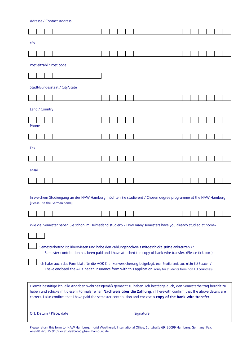|       | <b>Adresse / Contact Address</b>                                                                                                                                                                                                                                                                                                                                      |  |  |  |  |  |  |  |  |  |  |  |           |                                                                                                                |  |  |  |  |
|-------|-----------------------------------------------------------------------------------------------------------------------------------------------------------------------------------------------------------------------------------------------------------------------------------------------------------------------------------------------------------------------|--|--|--|--|--|--|--|--|--|--|--|-----------|----------------------------------------------------------------------------------------------------------------|--|--|--|--|
|       |                                                                                                                                                                                                                                                                                                                                                                       |  |  |  |  |  |  |  |  |  |  |  |           |                                                                                                                |  |  |  |  |
| C/O   |                                                                                                                                                                                                                                                                                                                                                                       |  |  |  |  |  |  |  |  |  |  |  |           |                                                                                                                |  |  |  |  |
|       |                                                                                                                                                                                                                                                                                                                                                                       |  |  |  |  |  |  |  |  |  |  |  |           |                                                                                                                |  |  |  |  |
|       | Postleitzahl / Post code                                                                                                                                                                                                                                                                                                                                              |  |  |  |  |  |  |  |  |  |  |  |           |                                                                                                                |  |  |  |  |
|       |                                                                                                                                                                                                                                                                                                                                                                       |  |  |  |  |  |  |  |  |  |  |  |           |                                                                                                                |  |  |  |  |
|       | Stadt/Bundesstaat / City/State                                                                                                                                                                                                                                                                                                                                        |  |  |  |  |  |  |  |  |  |  |  |           |                                                                                                                |  |  |  |  |
|       |                                                                                                                                                                                                                                                                                                                                                                       |  |  |  |  |  |  |  |  |  |  |  |           |                                                                                                                |  |  |  |  |
|       | Land / Country                                                                                                                                                                                                                                                                                                                                                        |  |  |  |  |  |  |  |  |  |  |  |           |                                                                                                                |  |  |  |  |
|       |                                                                                                                                                                                                                                                                                                                                                                       |  |  |  |  |  |  |  |  |  |  |  |           |                                                                                                                |  |  |  |  |
| Phone |                                                                                                                                                                                                                                                                                                                                                                       |  |  |  |  |  |  |  |  |  |  |  |           |                                                                                                                |  |  |  |  |
|       |                                                                                                                                                                                                                                                                                                                                                                       |  |  |  |  |  |  |  |  |  |  |  |           |                                                                                                                |  |  |  |  |
| Fax   |                                                                                                                                                                                                                                                                                                                                                                       |  |  |  |  |  |  |  |  |  |  |  |           |                                                                                                                |  |  |  |  |
|       |                                                                                                                                                                                                                                                                                                                                                                       |  |  |  |  |  |  |  |  |  |  |  |           |                                                                                                                |  |  |  |  |
| eMail |                                                                                                                                                                                                                                                                                                                                                                       |  |  |  |  |  |  |  |  |  |  |  |           |                                                                                                                |  |  |  |  |
|       |                                                                                                                                                                                                                                                                                                                                                                       |  |  |  |  |  |  |  |  |  |  |  |           |                                                                                                                |  |  |  |  |
|       | In welchem Studiengang an der HAW Hamburg möchten Sie studieren? / Chosen degree programme at the HAW Hamburg<br>[Please use the German name]                                                                                                                                                                                                                         |  |  |  |  |  |  |  |  |  |  |  |           |                                                                                                                |  |  |  |  |
|       |                                                                                                                                                                                                                                                                                                                                                                       |  |  |  |  |  |  |  |  |  |  |  |           |                                                                                                                |  |  |  |  |
|       |                                                                                                                                                                                                                                                                                                                                                                       |  |  |  |  |  |  |  |  |  |  |  |           |                                                                                                                |  |  |  |  |
|       | Wie viel Semester haben Sie schon im Heimatland studiert? / How many semesters have you already studied at home?                                                                                                                                                                                                                                                      |  |  |  |  |  |  |  |  |  |  |  |           |                                                                                                                |  |  |  |  |
|       |                                                                                                                                                                                                                                                                                                                                                                       |  |  |  |  |  |  |  |  |  |  |  |           |                                                                                                                |  |  |  |  |
|       |                                                                                                                                                                                                                                                                                                                                                                       |  |  |  |  |  |  |  |  |  |  |  |           | Semesterbetrag ist überwiesen und habe den Zahlungsnachweis mitgeschickt. (Bitte ankreuzen.) /                 |  |  |  |  |
|       |                                                                                                                                                                                                                                                                                                                                                                       |  |  |  |  |  |  |  |  |  |  |  |           | Semester contribution has been paid and I have attached the copy of bank wire transfer. (Please tick box.)     |  |  |  |  |
|       |                                                                                                                                                                                                                                                                                                                                                                       |  |  |  |  |  |  |  |  |  |  |  |           | Ich habe auch das Formblatt für die AOK Krankenversicherung beigelegt. (nur Studierende aus nicht EU Staaten / |  |  |  |  |
|       |                                                                                                                                                                                                                                                                                                                                                                       |  |  |  |  |  |  |  |  |  |  |  |           | I have enclosed the AOK health insurance form with this application. (only for students from non EU countries) |  |  |  |  |
|       | Hiermit bestätige ich, alle Angaben wahrheitsgemäß gemacht zu haben. Ich bestätige auch, den Semesterbeitrag bezahlt zu<br>haben und schicke mit diesem Formular einen Nachweis über die Zahlung. / I herewith confirm that the above details are<br>correct. I also confirm that I have paid the semester contribution and enclose a copy of the bank wire transfer. |  |  |  |  |  |  |  |  |  |  |  |           |                                                                                                                |  |  |  |  |
|       | Ort, Datum / Place, date                                                                                                                                                                                                                                                                                                                                              |  |  |  |  |  |  |  |  |  |  |  | Signature |                                                                                                                |  |  |  |  |

Please return this form to: HAW Hamburg, Ingrid Weatherall, International Office, Stiftstraße 69, 20099 Hamburg, Germany; Fax: +49.40.428 75 9189 or studyabroad@haw-hamburg.de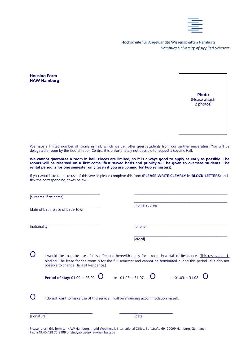

Hochschule für Angewandte Wissenschaften Hamburg **Hamburg University of Applied Sciences** 

**Housing Form HAW Hamburg**



We have a limited number of rooms in hall, which we can offer quest students from our partner universities. You will be delegated a room by the Coordination Centre; it is unfortunately not possible to request a specific Hall.

**We cannot guarantee a room in hall. Places are limited, so it is always good to apply as early as possible. The rooms will be reserved on a first come, first served basis and priority will be given to overseas students. The rental period is for one semester only (even if you are coming for two semesters).**

If you would like to make use of this service please complete this form (**PLEASE WRITE CLEARLY in BLOCK LETTERS**) and tick the corresponding boxes below:

\_\_\_\_\_\_\_\_\_\_\_\_\_\_\_\_\_\_\_\_\_\_\_\_\_\_\_\_\_\_\_\_\_\_\_\_\_ \_\_\_\_\_\_\_\_\_\_\_\_\_\_\_\_\_\_\_\_\_\_\_\_\_\_\_\_\_\_\_\_\_\_\_\_\_\_\_\_\_\_\_\_\_\_\_\_\_

\_\_\_\_\_\_\_\_\_\_\_\_\_\_\_\_\_\_\_\_\_\_\_\_\_\_\_\_\_\_\_\_\_\_\_\_\_ \_\_\_\_\_\_\_\_\_\_\_\_\_\_\_\_\_\_\_\_\_\_\_\_\_\_\_\_\_\_\_\_\_\_\_\_\_\_\_\_\_\_\_\_\_\_\_\_\_ [surname, first name]

[date of birth, place of birth- town]

\_\_\_\_\_\_\_\_\_\_\_\_\_\_\_\_\_\_\_\_\_\_\_\_\_\_\_\_\_\_\_\_\_\_\_\_\_ [home address]

[nationality] [phone]

[eMail]

 $\mathbf 0$  I would like to make use of this offer and herewith apply for a room in a Hall of Residence. [This reservation is binding. The lease for the room is for the full semester and cannot be terminated during this period. It is also not possible to change Halls of Residence.]

**Period of stay:** 01.09. – 28.02. **O** or 01.03. – 31.07. **O** or 01.03. – 31.08. **O** 



\_\_\_\_\_\_\_\_\_\_\_\_\_\_\_\_\_\_\_\_\_\_\_\_\_\_\_\_\_\_\_\_\_\_\_\_\_\_\_\_\_\_\_\_\_\_\_\_\_

\_\_\_\_\_\_\_\_\_\_\_\_\_\_\_\_\_\_\_\_\_\_\_\_\_\_\_\_\_\_\_\_\_\_\_\_\_\_\_\_\_\_\_\_\_\_\_\_\_

 $\mathbf 0$  I do not want to make use of this service. I will be arranging accommodation myself.

\_\_\_\_\_\_\_\_\_\_\_\_\_\_\_\_\_\_\_\_\_\_\_\_\_\_\_\_\_\_\_\_\_ \_\_\_\_\_\_\_\_\_\_\_\_\_\_\_\_\_\_\_\_\_\_\_\_\_\_\_\_

[signature] [date]

Please return this form to: HAW Hamburg, Ingrid Weatherall, International Office, Stiftstraße 69, 20099 Hamburg, Germany; Fax: +49.40.428 75 9189 or studyabroad@haw-hamburg.de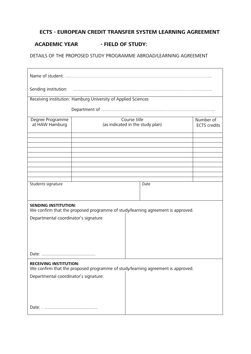# **ECTS - EUROPEAN CREDIT TRANSFER SYSTEM LEARNING AGREEMENT**

# **ACADEMIC YEAR - FIELD OF STUDY:**

DETAILS OF THE PROPOSED STUDY PROGRAMME ABROAD/LEARNING AGREEMENT

| Sending institution: www.communication.com/www.communication.com/www.communication.com                           |                                                  |                                  |
|------------------------------------------------------------------------------------------------------------------|--------------------------------------------------|----------------------------------|
| Receiving institution: Hamburg University of Applied Sciences                                                    |                                                  |                                  |
|                                                                                                                  |                                                  |                                  |
| Degree Programme<br>at HAW Hamburg                                                                               | Course title<br>(as indicated in the study plan) | Number of<br><b>ECTS</b> credits |
|                                                                                                                  |                                                  |                                  |
|                                                                                                                  |                                                  |                                  |
|                                                                                                                  |                                                  |                                  |
| Students signature                                                                                               | Date                                             |                                  |
| <b>SENDING INSTITUTION:</b><br>We confirm that the proposed programme of study/learning agreement is approved.   |                                                  |                                  |
| Departmental coordinator's signature                                                                             |                                                  |                                  |
|                                                                                                                  |                                                  |                                  |
|                                                                                                                  |                                                  |                                  |
|                                                                                                                  |                                                  |                                  |
|                                                                                                                  |                                                  |                                  |
| <b>RECEIVING INSTITUTION:</b><br>We confirm that the proposed programme of study/learning agreement is approved. |                                                  |                                  |
| Departmental coordinator's signature:                                                                            |                                                  |                                  |
|                                                                                                                  |                                                  |                                  |
|                                                                                                                  |                                                  |                                  |
|                                                                                                                  |                                                  |                                  |